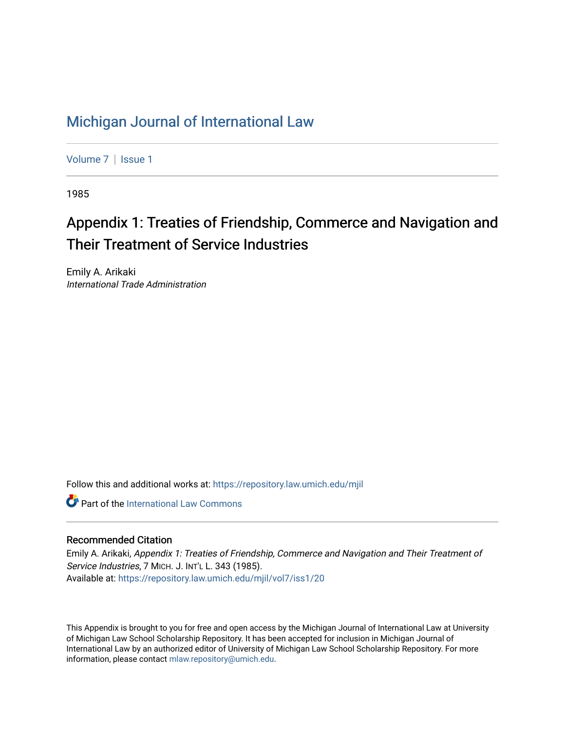## [Michigan Journal of International Law](https://repository.law.umich.edu/mjil)

[Volume 7](https://repository.law.umich.edu/mjil/vol7) | Issue 1

1985

# Appendix 1: Treaties of Friendship, Commerce and Navigation and Their Treatment of Service Industries

Emily A. Arikaki International Trade Administration

Follow this and additional works at: [https://repository.law.umich.edu/mjil](https://repository.law.umich.edu/mjil?utm_source=repository.law.umich.edu%2Fmjil%2Fvol7%2Fiss1%2F20&utm_medium=PDF&utm_campaign=PDFCoverPages) 

**Part of the International Law Commons** 

### Recommended Citation

Emily A. Arikaki, Appendix 1: Treaties of Friendship, Commerce and Navigation and Their Treatment of Service Industries, 7 MICH. J. INT'L L. 343 (1985). Available at: [https://repository.law.umich.edu/mjil/vol7/iss1/20](https://repository.law.umich.edu/mjil/vol7/iss1/20?utm_source=repository.law.umich.edu%2Fmjil%2Fvol7%2Fiss1%2F20&utm_medium=PDF&utm_campaign=PDFCoverPages) 

This Appendix is brought to you for free and open access by the Michigan Journal of International Law at University of Michigan Law School Scholarship Repository. It has been accepted for inclusion in Michigan Journal of International Law by an authorized editor of University of Michigan Law School Scholarship Repository. For more information, please contact [mlaw.repository@umich.edu](mailto:mlaw.repository@umich.edu).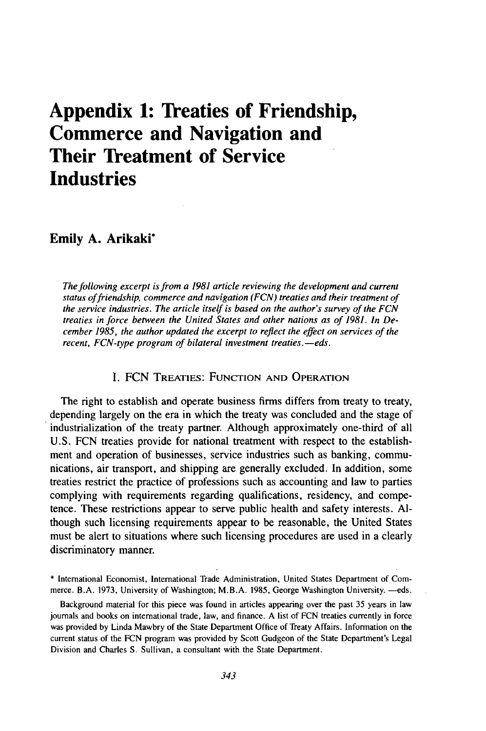## **Appendix 1: Treaties of Friendship, Commerce and Navigation and Their Treatment of Service Industries**

#### **Emily A. Arikaki\***

*The following excerpt is from a 1981 article reviewing the development and current status offriendship, commerce and navigation (FCN) treaties and their treatment of the service industries. The article itself is based on the author's survey of the FCN treaties in force between the United States and other nations as of 1981. In December 1985, the author updated the excerpt to reflect the effect on services of the recent, FCN-type program of bilateral investment treaties.—eds.* 

#### I. FCN TREATIES: **FUNCTION AND** OPERATION

The right to establish and operate business firms differs from treaty to treaty, depending largely on the era in which the treaty was concluded and the stage of industrialization of the treaty partner. Although approximately one-third of all **U.S. FCN** treaties provide for national treatment with respect to the establishment and operation of businesses, service industries such as banking, communications, air transport, and shipping are generally excluded. In addition, some treaties restrict the practice of professions such as accounting and law to parties complying with requirements regarding qualifications, residency, and competence. These restrictions appear to serve public health and safety interests. **Al**though such licensing requirements appear to be reasonable, the United States must be alert to situations where such licensing procedures are used in a clearly discriminatory manner.

<sup>\*</sup> International Economist, International Trade Administration, United States Department of Commerce. B.A. 1973, University of Washington; M.B.A. 1985, George Washington University. -- eds.

Background material for this piece was found in articles appearing over the past 35 years in law journals and books on international trade, law, and finance. A list of FCN treaties currently in force was provided by Linda Mawbry of the State Department Office of Treaty Affairs. Information on the current status of the FCN program was provided by Scott Gudgeon of the State Department's Legal Division and Charles S. Sullivan, a consultant with the State Department.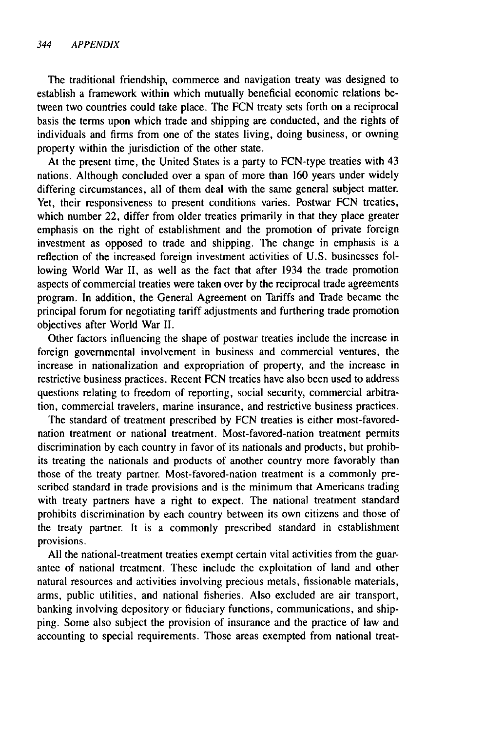The traditional friendship, commerce and navigation treaty was designed to establish a framework within which mutually beneficial economic relations between two countries could take place. The FCN treaty sets forth on a reciprocal basis the terms upon which trade and shipping are conducted, and the rights of individuals and firms from one of the states living, doing business, or owning property within the jurisdiction of the other state.

At the present time, the United States is a party to FCN-type treaties with 43 nations. Although concluded over a span of more than 160 years under widely differing circumstances, all of them deal with the same general subject matter. Yet, their responsiveness to present conditions varies. Postwar FCN treaties, which number 22, differ from older treaties primarily in that they place greater emphasis on the right of establishment and the promotion of private foreign investment as opposed to trade and shipping. The change in emphasis is a reflection of the increased foreign investment activities of U.S. businesses following World War II, as well as the fact that after 1934 the trade promotion aspects of commercial treaties were taken over by the reciprocal trade agreements program. In addition, the General Agreement on Tariffs and Trade became the principal forum for negotiating tariff adjustments and furthering trade promotion objectives after World War II.

Other factors influencing the shape of postwar treaties include the increase in foreign governmental involvement in business and commercial ventures, the increase in nationalization and expropriation of property, and the increase in restrictive business practices. Recent FCN treaties have also been used to address questions relating to freedom of reporting, social security, commercial arbitration, commercial travelers, marine insurance, and restrictive business practices.

The standard of treatment prescribed by FCN treaties is either most-favorednation treatment or national treatment. Most-favored-nation treatment permits discrimination by each country in favor of its nationals and products, but prohibits treating the nationals and products of another country more favorably than those of the treaty partner. Most-favored-nation treatment is a commonly prescribed standard in trade provisions and is the minimum that Americans trading with treaty partners have a right to expect. The national treatment standard prohibits discrimination by each country between its own citizens and those of the treaty partner. It is a commonly prescribed standard in establishment provisions.

All the national-treatment treaties exempt certain vital activities from the guarantee of national treatment. These include the exploitation of land and other natural resources and activities involving precious metals, fissionable materials, arms, public utilities, and national fisheries. Also excluded are air transport, banking involving depository or fiduciary functions, communications, and shipping. Some also subject the provision of insurance and the practice of law and accounting to special requirements. Those areas exempted from national treat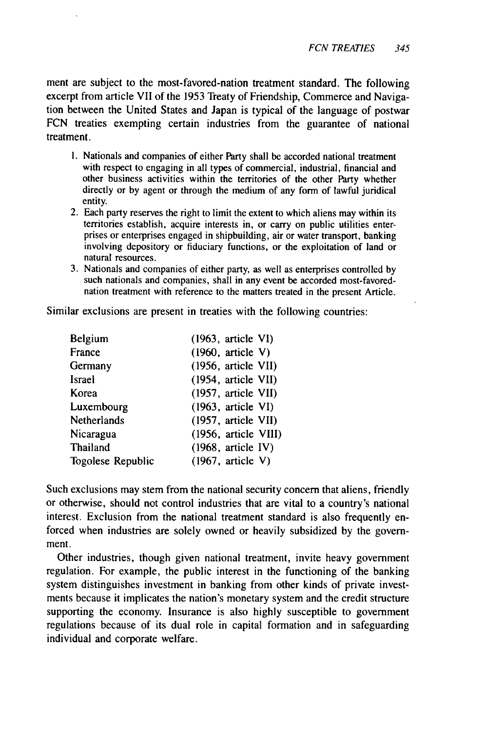ment are subject to the most-favored-nation treatment standard. The following excerpt from article VII of the 1953 Treaty of Friendship, Commerce and Navigation between the United States and Japan is typical of the language of postwar FCN treaties exempting certain industries from the guarantee of national treatment.

- I. Nationals and companies of either Party shall be accorded national treatment with respect to engaging in all types of commercial, industrial, financial and other business activities within the territories of the other Party whether directly or by agent or through the medium of any form of lawful juridical entity.
- 2. Each party reserves the right to limit the extent to which aliens may within its territories establish, acquire interests in, or carry on public utilities enterprises or enterprises engaged in shipbuilding, air or water transport, banking involving depository or fiduciary functions, or the exploitation of land or natural resources.
- 3. Nationals and companies of either party, as well as enterprises controlled by such nationals and companies, shall in any event be accorded most-favorednation treatment with reference to the matters treated in the present Article.

Similar exclusions are present in treaties with the following countries:

| Belgium           | $(1963,$ article VI)           |
|-------------------|--------------------------------|
| France            | $(1960,$ article V)            |
| Germany           | $(1956, \text{ article VII})$  |
| Israel            | (1954, article VII)            |
| Korea             | (1957, article VII)            |
| Luxembourg        | $(1963, \text{ article VI})$   |
| Netherlands       | (1957, article VII)            |
| Nicaragua         | $(1956, \text{ article VIII})$ |
| Thailand          | $(1968,$ article IV)           |
| Togolese Republic | $(1967,$ article V)            |

Such exclusions may stem from the national security concern that aliens, friendly or otherwise, should not control industries that are vital to a country's national interest. Exclusion from the national treatment standard is also frequently enforced when industries are solely owned or heavily subsidized by the government.

Other industries, though given national treatment, invite heavy government regulation. For example, the public interest in the functioning of the banking system distinguishes investment in banking from other kinds of private investments because it implicates the nation's monetary system and the credit structure supporting the economy. Insurance is also highly susceptible to government regulations because of its dual role in capital formation and in safeguarding individual and corporate welfare.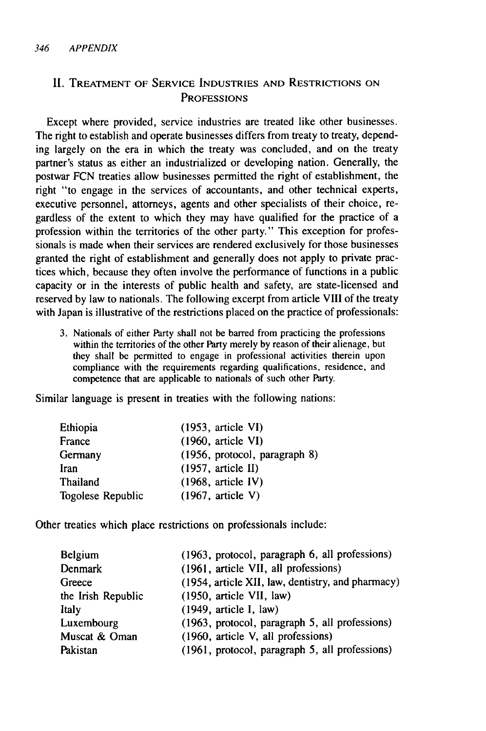### **1I.** TREATMENT OF SERVICE INDUSTRIES AND RESTRICTIONS ON **PROFESSIONS**

Except where provided, service industries are treated like other businesses. The right to establish and operate businesses differs from treaty to treaty, depending largely on the era in which the treaty was concluded, and on the treaty partner's status as either an industrialized or developing nation. Generally, the postwar FCN treaties allow businesses permitted the right of establishment, the right "to engage in the services of accountants, and other technical experts, executive personnel, attorneys, agents and other specialists of their choice, regardless of the extent to which they may have qualified for the practice of a profession within the territories of the other party." This exception for professionals is made when their services are rendered exclusively for those businesses granted the right of establishment and generally does not apply to private practices which, because they often involve the performance of functions in a public capacity or in the interests of public health and safety, are state-licensed and reserved by law to nationals. The following excerpt from article VIII of the treaty with Japan is illustrative of the restrictions placed on the practice of professionals:

3. Nationals of either Party shall not be barred from practicing the professions within the territories of the other Party merely by reason of their alienage, but they shall be permitted to engage in professional activities therein upon compliance with the requirements regarding qualifications, residence, and competence that are applicable to nationals of such other Party.

Similar language is present in treaties with the following nations:

| Ethiopia          | $(1953, \text{ article VI})$  |
|-------------------|-------------------------------|
| France            | $(1960,$ article VI)          |
| Germany           | (1956, protocol, paragraph 8) |
| Iran              | $(1957,$ article II)          |
| Thailand          | $(1968, \text{article IV})$   |
| Togolese Republic | $(1967,$ article V)           |

Other treaties which place restrictions on professionals include:

| (1963, protocol, paragraph 6, all professions)    |
|---------------------------------------------------|
| (1961, article VII, all professions)              |
| (1954, article XII, law, dentistry, and pharmacy) |
| (1950, article VII, law)                          |
| $(1949, \text{article } I, \text{ law})$          |
| (1963, protocol, paragraph 5, all professions)    |
| (1960, article V, all professions)                |
| (1961, protocol, paragraph 5, all professions)    |
|                                                   |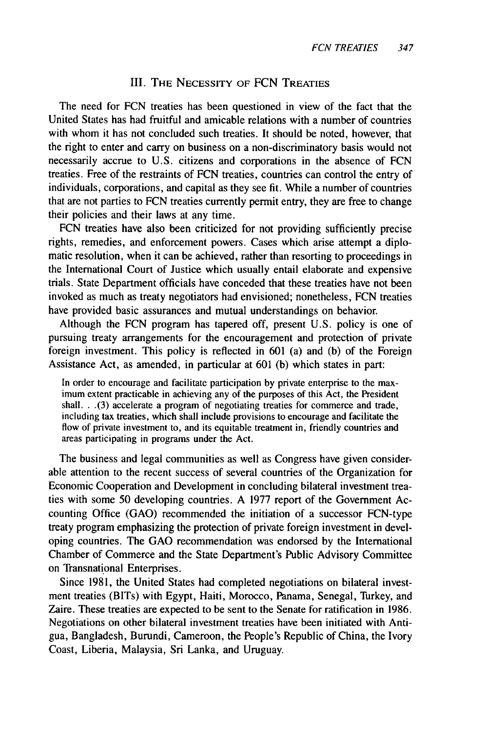#### III. THE **NECESSITY** OF FCN TREATIES

The need for FCN treaties has been questioned in view of the fact that the United States has had fruitful and amicable relations with a number of countries with whom it has not concluded such treaties. It should be noted, however, that the right to enter and carry on business on a non-discriminatory basis would not necessarily accrue to U.S. citizens and corporations in the absence of FCN treaties. Free of the restraints of FCN treaties, countries can control the entry of individuals, corporations, and capital as they see fit. While a number of countries that are not parties to FCN treaties currently permit entry, they are free to change their policies and their laws at any time.

FCN treaties have also been criticized for not providing sufficiently precise rights, remedies, and enforcement powers. Cases which arise attempt a diplomatic resolution, when it can be achieved, rather than resorting to proceedings in the International Court of Justice which usually entail elaborate and expensive trials. State Department officials have conceded that these treaties have not been invoked as much as treaty negotiators had envisioned; nonetheless, FCN treaties have provided basic assurances and mutual understandings on behavior.

Although the FCN program has tapered off, present U.S. policy is one of pursuing treaty arrangements for the encouragement and protection of private foreign investment. This policy is reflected in 601 (a) and (b) of the Foreign Assistance Act, as amended, in particular at 601 (b) which states in part:

In order to encourage and facilitate participation by private enterprise to the maximum extent practicable in achieving any of the purposes of this Act, the President shall... (3) accelerate a program of negotiating treaties for commerce and trade, including tax treaties, which shall include provisions to encourage and facilitate the flow of private investment to, and its equitable treatment in, friendly countries and areas participating in programs under the Act.

The business and legal communities as well as Congress have given considerable attention to the recent success of several countries of the Organization for Economic Cooperation and Development in concluding bilateral investment treaties with some 50 developing countries. A 1977 report of the Government Accounting Office (GAO) recommended the initiation of a successor FCN-type treaty program emphasizing the protection of private foreign investment in developing countries. The GAO recommendation was endorsed by the International Chamber of Commerce and the State Department's Public Advisory Committee on Transnational Enterprises.

Since 1981, the United States had completed negotiations on bilateral investment treaties (BITs) with Egypt, Haiti, Morocco, Panama, Senegal, Turkey, and Zaire. These treaties are expected to be sent to the Senate for ratification in 1986. Negotiations on other bilateral investment treaties have been initiated with Antigua, Bangladesh, Burundi, Cameroon, the People's Republic of China, the Ivory Coast, Liberia, Malaysia, Sri Lanka, and Uruguay.